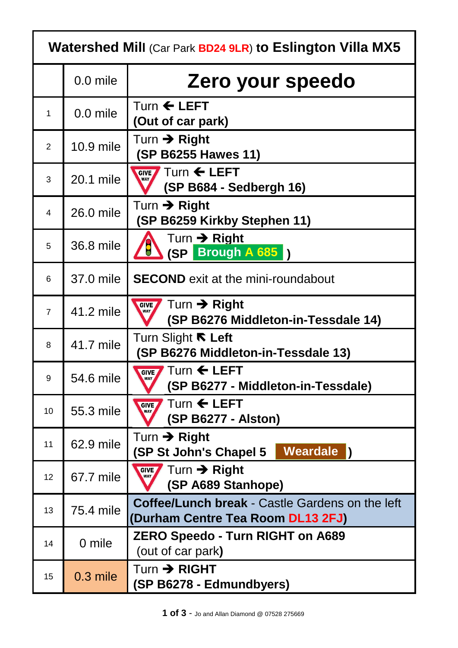| <b>Watershed Mill (Car Park BD24 9LR) to Eslington Villa MX5</b> |            |                                                                                       |  |  |
|------------------------------------------------------------------|------------|---------------------------------------------------------------------------------------|--|--|
|                                                                  | 0.0 mile   | Zero your speedo                                                                      |  |  |
| $\mathbf{1}$                                                     | 0.0 mile   | Turn $\leftarrow$ LEFT<br>(Out of car park)                                           |  |  |
| $\overline{2}$                                                   | 10.9 mile  | Turn $\rightarrow$ Right<br><b>(SP B6255 Hawes 11)</b>                                |  |  |
| 3                                                                | 20.1 mile  | GIVE Turn < LEFT<br>(SP B684 - Sedbergh 16)                                           |  |  |
| $\overline{4}$                                                   | 26.0 mile  | Turn $\rightarrow$ Right<br>(SP B6259 Kirkby Stephen 11)                              |  |  |
| 5                                                                | 36.8 mile  | Turn $\rightarrow$ Right<br><b>AD</b><br>(SP Brough A 685                             |  |  |
| 6                                                                | 37.0 mile  | <b>SECOND</b> exit at the mini-roundabout                                             |  |  |
| $\overline{7}$                                                   | 41.2 mile  | Turn $\rightarrow$ Right<br><b>GIVE</b><br>WAY<br>(SP B6276 Middleton-in-Tessdale 14) |  |  |
| 8                                                                | 41.7 mile  | Turn Slight <b>ℝ</b> Left<br>(SP B6276 Middleton-in-Tessdale 13)                      |  |  |
| 9                                                                | 54.6 mile  | <b>GIVE</b> Turn ← LEFT<br>(SP B6277 - Middleton-in-Tessdale)                         |  |  |
| 10                                                               | 55.3 mile  | Turn $\leftarrow$ LEFT<br><b>GIVE</b><br><b>WAY</b><br>(SP B6277 - Alston)            |  |  |
| 11                                                               | 62.9 mile  | Turn $\rightarrow$ Right<br><b>Weardale</b><br>(SP St John's Chapel 5                 |  |  |
| 12                                                               | 67.7 mile  | Turn $\rightarrow$ Right<br><b>GIVE</b><br><b>WAY</b><br>(SP A689 Stanhope)           |  |  |
| 13                                                               | 75.4 mile  | Coffee/Lunch break - Castle Gardens on the left<br>(Durham Centre Tea Room DL13 2FJ)  |  |  |
| 14                                                               | 0 mile     | <b>ZERO Speedo - Turn RIGHT on A689</b><br>(out of car park)                          |  |  |
| 15                                                               | $0.3$ mile | $Turn \rightarrow RIGHT$<br>(SP B6278 - Edmundbyers)                                  |  |  |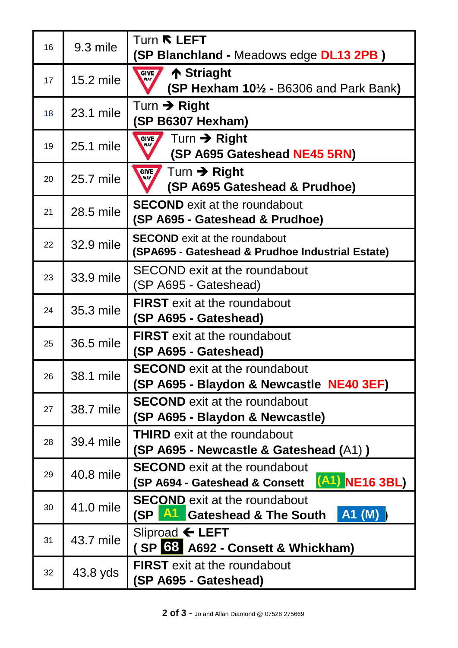|    |           | Turn <b>R LEFT</b>                                                                         |
|----|-----------|--------------------------------------------------------------------------------------------|
| 16 | 9.3 mile  | (SP Blanchland - Meadows edge DL13 2PB)                                                    |
| 17 | 15.2 mile | ↑ Striaght<br><b>GIVE</b><br>$(SP$ Hexham $10\frac{1}{2}$ - B6306 and Park Bank)           |
| 18 | 23.1 mile | Turn $\rightarrow$ Right<br>(SP B6307 Hexham)                                              |
| 19 | 25.1 mile | Turn $\rightarrow$ Right<br><b>GIVE</b><br>WAY<br>(SP A695 Gateshead NE45 5RN)             |
| 20 | 25.7 mile | Turn $\rightarrow$ Right<br><b>GIVE</b><br>WAY<br>(SP A695 Gateshead & Prudhoe)            |
| 21 | 28.5 mile | <b>SECOND</b> exit at the roundabout<br>(SP A695 - Gateshead & Prudhoe)                    |
| 22 | 32.9 mile | <b>SECOND</b> exit at the roundabout<br>(SPA695 - Gateshead & Prudhoe Industrial Estate)   |
| 23 | 33.9 mile | <b>SECOND exit at the roundabout</b><br>(SP A695 - Gateshead)                              |
| 24 | 35.3 mile | <b>FIRST</b> exit at the roundabout<br>(SP A695 - Gateshead)                               |
| 25 | 36.5 mile | <b>FIRST</b> exit at the roundabout<br>(SP A695 - Gateshead)                               |
| 26 | 38.1 mile | <b>SECOND</b> exit at the roundabout<br>(SP A695 - Blaydon & Newcastle NE40 3EF)           |
| 27 | 38.7 mile | <b>SECOND</b> exit at the roundabout<br>(SP A695 - Blaydon & Newcastle)                    |
| 28 | 39.4 mile | <b>THIRD</b> exit at the roundabout<br>(SP A695 - Newcastle & Gateshead (A1))              |
| 29 | 40.8 mile | <b>SECOND</b> exit at the roundabout<br>$(A1)$ NE16 3BL)<br>(SP A694 - Gateshead & Consett |
| 30 | 41.0 mile | <b>SECOND</b> exit at the roundabout<br>A1 (M)<br><b>All</b> Gateshead & The South<br>(SP) |
| 31 | 43.7 mile | Sliproad $\leftarrow$ LEFT<br>(SP 63 A692 - Consett & Whickham)                            |
| 32 | 43.8 yds  | <b>FIRST</b> exit at the roundabout<br>(SP A695 - Gateshead)                               |